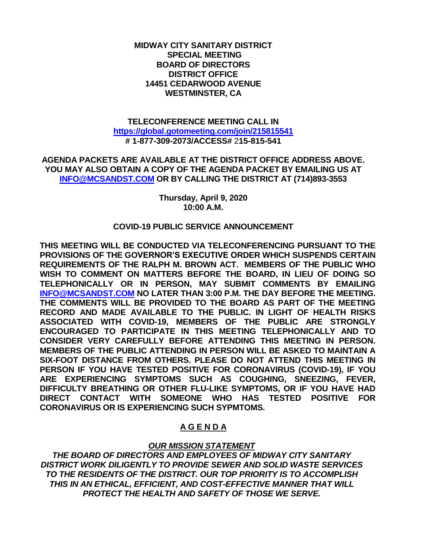## **MIDWAY CITY SANITARY DISTRICT SPECIAL MEETING BOARD OF DIRECTORS DISTRICT OFFICE 14451 CEDARWOOD AVENUE WESTMINSTER, CA**

## **TELECONFERENCE MEETING CALL IN <https://global.gotomeeting.com/join/215815541> # 1-877-309-2073/ACCESS#** 2**15-815-541**

**AGENDA PACKETS ARE AVAILABLE AT THE DISTRICT OFFICE ADDRESS ABOVE. YOU MAY ALSO OBTAIN A COPY OF THE AGENDA PACKET BY EMAILING US AT [INFO@MCSANDST.COM](mailto:INFO@MCSANDST.COM) OR BY CALLING THE DISTRICT AT (714)893-3553**

> **Thursday, April 9, 2020 10:00 A.M.**

# **COVID-19 PUBLIC SERVICE ANNOUNCEMENT**

**THIS MEETING WILL BE CONDUCTED VIA TELECONFERENCING PURSUANT TO THE PROVISIONS OF THE GOVERNOR'S EXECUTIVE ORDER WHICH SUSPENDS CERTAIN REQUIREMENTS OF THE RALPH M. BROWN ACT. MEMBERS OF THE PUBLIC WHO WISH TO COMMENT ON MATTERS BEFORE THE BOARD, IN LIEU OF DOING SO TELEPHONICALLY OR IN PERSON, MAY SUBMIT COMMENTS BY EMAILING [INFO@MCSANDST.COM](mailto:INFO@MCSANDST.COM) NO LATER THAN 3:00 P.M. THE DAY BEFORE THE MEETING. THE COMMENTS WILL BE PROVIDED TO THE BOARD AS PART OF THE MEETING RECORD AND MADE AVAILABLE TO THE PUBLIC. IN LIGHT OF HEALTH RISKS ASSOCIATED WITH COVID-19, MEMBERS OF THE PUBLIC ARE STRONGLY ENCOURAGED TO PARTICIPATE IN THIS MEETING TELEPHONICALLY AND TO CONSIDER VERY CAREFULLY BEFORE ATTENDING THIS MEETING IN PERSON. MEMBERS OF THE PUBLIC ATTENDING IN PERSON WILL BE ASKED TO MAINTAIN A SIX-FOOT DISTANCE FROM OTHERS. PLEASE DO NOT ATTEND THIS MEETING IN PERSON IF YOU HAVE TESTED POSITIVE FOR CORONAVIRUS (COVID-19), IF YOU ARE EXPERIENCING SYMPTOMS SUCH AS COUGHING, SNEEZING, FEVER, DIFFICULTY BREATHING OR OTHER FLU-LIKE SYMPTOMS, OR IF YOU HAVE HAD DIRECT CONTACT WITH SOMEONE WHO HAS TESTED POSITIVE FOR CORONAVIRUS OR IS EXPERIENCING SUCH SYPMTOMS.** 

# **A G E N D A**

# *OUR MISSION STATEMENT*

*THE BOARD OF DIRECTORS AND EMPLOYEES OF MIDWAY CITY SANITARY DISTRICT WORK DILIGENTLY TO PROVIDE SEWER AND SOLID WASTE SERVICES TO THE RESIDENTS OF THE DISTRICT. OUR TOP PRIORITY IS TO ACCOMPLISH THIS IN AN ETHICAL, EFFICIENT, AND COST-EFFECTIVE MANNER THAT WILL PROTECT THE HEALTH AND SAFETY OF THOSE WE SERVE.*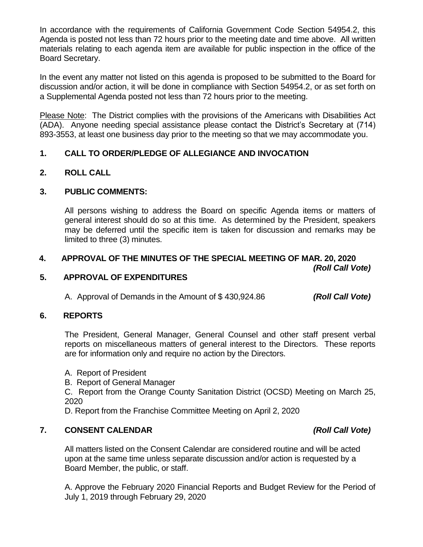In accordance with the requirements of California Government Code Section 54954.2, this Agenda is posted not less than 72 hours prior to the meeting date and time above. All written materials relating to each agenda item are available for public inspection in the office of the Board Secretary.

In the event any matter not listed on this agenda is proposed to be submitted to the Board for discussion and/or action, it will be done in compliance with Section 54954.2, or as set forth on a Supplemental Agenda posted not less than 72 hours prior to the meeting.

Please Note: The District complies with the provisions of the Americans with Disabilities Act (ADA). Anyone needing special assistance please contact the District's Secretary at (714) 893-3553, at least one business day prior to the meeting so that we may accommodate you.

# **1. CALL TO ORDER/PLEDGE OF ALLEGIANCE AND INVOCATION**

# **2. ROLL CALL**

# **3. PUBLIC COMMENTS:**

All persons wishing to address the Board on specific Agenda items or matters of general interest should do so at this time. As determined by the President, speakers may be deferred until the specific item is taken for discussion and remarks may be limited to three (3) minutes.

## **4. APPROVAL OF THE MINUTES OF THE SPECIAL MEETING OF MAR. 20, 2020** *(Roll Call Vote)*

## **5. APPROVAL OF EXPENDITURES**

A. Approval of Demands in the Amount of \$ 430,924.86 *(Roll Call Vote)*

## **6. REPORTS**

The President, General Manager, General Counsel and other staff present verbal reports on miscellaneous matters of general interest to the Directors. These reports are for information only and require no action by the Directors.

A. Report of President

B. Report of General Manager

C. Report from the Orange County Sanitation District (OCSD) Meeting on March 25, 2020

D. Report from the Franchise Committee Meeting on April 2, 2020

# **7. CONSENT CALENDAR** *(Roll Call Vote)*

All matters listed on the Consent Calendar are considered routine and will be acted upon at the same time unless separate discussion and/or action is requested by a Board Member, the public, or staff.

A. Approve the February 2020 Financial Reports and Budget Review for the Period of July 1, 2019 through February 29, 2020